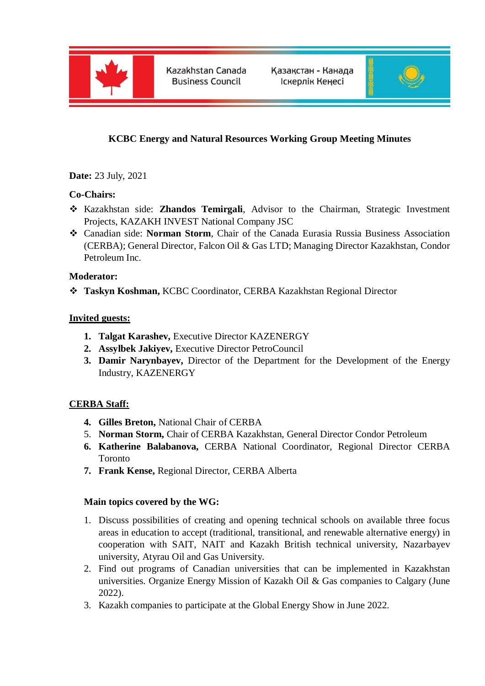

Kazakhstan Canada **Business Council** 

Қазақстан - Канада Іскерлік Кеңесі



# **KCBC Energy and Natural Resources Working Group Meeting Minutes**

**Date:** 23 July, 2021

### **Co-Chairs:**

- Kazakhstan side: **Zhandos Temirgali**, Advisor to the Chairman, Strategic Investment Projects, KAZAKH INVEST National Company JSC
- Canadian side: **Norman Storm**, Chair of the Canada Eurasia Russia Business Association (CERBA); General Director, Falcon Oil & Gas LTD; Managing Director Kazakhstan, Condor Petroleum Inc.

#### **Moderator:**

**Taskyn Koshman,** KCBC Coordinator, CERBA Kazakhstan Regional Director

#### **Invited guests:**

- **1. Talgat Karashev,** Executive Director KAZENERGY
- **2. Assylbek Jakiyev,** Executive Director PetroCouncil
- **3. Damir Narynbayev,** Director of the Department for the Development of the Energy Industry, KAZENERGY

## **CERBA Staff:**

- **4. Gilles Breton,** National Chair of CERBA
- 5. **Norman Storm,** Chair of CERBA Kazakhstan, General Director Condor Petroleum
- **6. Katherine Balabanova,** CERBA National Coordinator, Regional Director CERBA Toronto
- **7. Frank Kense,** Regional Director, CERBA Alberta

#### **Main topics covered by the WG:**

- 1. Discuss possibilities of creating and opening technical schools on available three focus areas in education to accept (traditional, transitional, and renewable alternative energy) in cooperation with SAIT, NAIT and Kazakh British technical university, Nazarbayev university, Atyrau Oil and Gas University.
- 2. Find out programs of Canadian universities that can be implemented in Kazakhstan universities. Organize Energy Mission of Kazakh Oil & Gas companies to Calgary (June 2022).
- 3. Kazakh companies to participate at the Global Energy Show in June 2022.